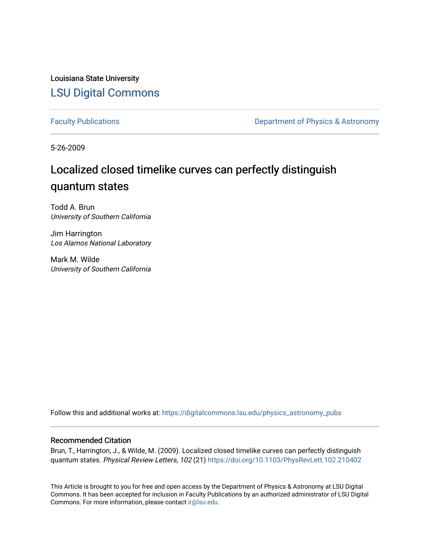Louisiana State University [LSU Digital Commons](https://digitalcommons.lsu.edu/)

[Faculty Publications](https://digitalcommons.lsu.edu/physics_astronomy_pubs) **Exercise 2 and Table 2 and Table 2 and Table 2 and Table 2 and Table 2 and Table 2 and Table 2 and Table 2 and Table 2 and Table 2 and Table 2 and Table 2 and Table 2 and Table 2 and Table 2 and Table** 

5-26-2009

## Localized closed timelike curves can perfectly distinguish quantum states

Todd A. Brun University of Southern California

Jim Harrington Los Alamos National Laboratory

Mark M. Wilde University of Southern California

Follow this and additional works at: [https://digitalcommons.lsu.edu/physics\\_astronomy\\_pubs](https://digitalcommons.lsu.edu/physics_astronomy_pubs?utm_source=digitalcommons.lsu.edu%2Fphysics_astronomy_pubs%2F5772&utm_medium=PDF&utm_campaign=PDFCoverPages) 

## Recommended Citation

Brun, T., Harrington, J., & Wilde, M. (2009). Localized closed timelike curves can perfectly distinguish quantum states. Physical Review Letters, 102 (21) <https://doi.org/10.1103/PhysRevLett.102.210402>

This Article is brought to you for free and open access by the Department of Physics & Astronomy at LSU Digital Commons. It has been accepted for inclusion in Faculty Publications by an authorized administrator of LSU Digital Commons. For more information, please contact [ir@lsu.edu](mailto:ir@lsu.edu).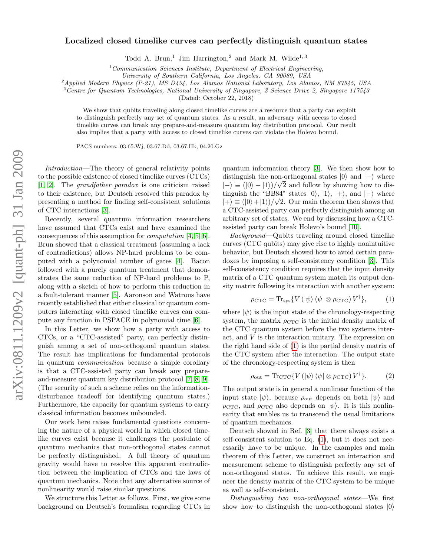## arXiv:0811.1209v2 [quant-ph] 31 Jan 2009 arXiv:0811.1209v2 [quant-ph] 31 Jan 2009

## Localized closed timelike curves can perfectly distinguish quantum states

Todd A. Brun,<sup>1</sup> Jim Harrington,<sup>2</sup> and Mark M. Wilde<sup>1,3</sup>

 $1$ Communication Sciences Institute, Department of Electrical Engineering,

University of Southern California, Los Angeles, CA 90089, USA

 $^{2}$ Applied Modern Physics (P-21), MS D454, Los Alamos National Laboratory, Los Alamos, NM 87545, USA

<sup>3</sup>Centre for Quantum Technologies, National University of Singapore, 3 Science Drive 2, Singapore 117543

(Dated: October 22, 2018)

We show that qubits traveling along closed timelike curves are a resource that a party can exploit to distinguish perfectly any set of quantum states. As a result, an adversary with access to closed timelike curves can break any prepare-and-measure quantum key distribution protocol. Our result also implies that a party with access to closed timelike curves can violate the Holevo bound.

PACS numbers: 03.65.Wj, 03.67.Dd, 03.67.Hk, 04.20.Gz

Introduction—The theory of general relativity points to the possible existence of closed timelike curves (CTCs) [\[1,](#page-4-0) [2\]](#page-4-1). The grandfather paradox is one criticism raised to their existence, but Deutsch resolved this paradox by presenting a method for finding self-consistent solutions of CTC interactions [\[3\]](#page-4-2).

Recently, several quantum information researchers have assumed that CTCs exist and have examined the consequences of this assumption for computation [\[4,](#page-4-3) [5,](#page-4-4) [6\]](#page-4-5). Brun showed that a classical treatment (assuming a lack of contradictions) allows NP-hard problems to be computed with a polynomial number of gates [\[4\]](#page-4-3). Bacon followed with a purely quantum treatment that demonstrates the same reduction of NP-hard problems to P, along with a sketch of how to perform this reduction in a fault-tolerant manner [\[5\]](#page-4-4). Aaronson and Watrous have recently established that either classical or quantum computers interacting with closed timelike curves can compute any function in PSPACE in polynomial time [\[6\]](#page-4-5).

In this Letter, we show how a party with access to CTCs, or a "CTC-assisted" party, can perfectly distinguish among a set of non-orthogonal quantum states. The result has implications for fundamental protocols in quantum communication because a simple corollary is that a CTC-assisted party can break any prepareand-measure quantum key distribution protocol [\[7,](#page-4-6) [8,](#page-4-7) [9\]](#page-4-8). (The security of such a scheme relies on the informationdisturbance tradeoff for identifying quantum states.) Furthermore, the capacity for quantum systems to carry classical information becomes unbounded.

Our work here raises fundamental questions concerning the nature of a physical world in which closed timelike curves exist because it challenges the postulate of quantum mechanics that non-orthogonal states cannot be perfectly distinguished. A full theory of quantum gravity would have to resolve this apparent contradiction between the implication of CTCs and the laws of quantum mechanics. Note that any alternative source of nonlinearity would raise similar questions.

We structure this Letter as follows. First, we give some background on Deutsch's formalism regarding CTCs in

quantum information theory [\[3\]](#page-4-2). We then show how to distinguish the non-orthogonal states  $|0\rangle$  and  $|-\rangle$  where  $|-\rangle \equiv (|0\rangle - |1\rangle)/\sqrt{2}$  and follow by showing how to distinguish the "BB84" states  $|0\rangle$ ,  $|1\rangle$ ,  $|+\rangle$ , and  $|-\rangle$  where  $|+\rangle \equiv (|0\rangle + |1\rangle)/\sqrt{2}$ . Our main theorem then shows that a CTC-assisted party can perfectly distinguish among an arbitrary set of states. We end by discussing how a CTCassisted party can break Holevo's bound [\[10\]](#page-5-0).

Background—Qubits traveling around closed timelike curves (CTC qubits) may give rise to highly nonintuitive behavior, but Deutsch showed how to avoid certain paradoxes by imposing a self-consistency condition [\[3\]](#page-4-2). This self-consistency condition requires that the input density matrix of a CTC quantum system match its output density matrix following its interaction with another system:

<span id="page-1-0"></span>
$$
\rho_{\rm CTC} = \text{Tr}_{\text{sys}} \{ V \left( |\psi \rangle \langle \psi | \otimes \rho_{\rm CTC} \right) V^{\dagger} \},\tag{1}
$$

where  $|\psi\rangle$  is the input state of the chronology-respecting system, the matrix  $\rho_{\text{CTC}}$  is the initial density matrix of the CTC quantum system before the two systems interact, and V is the interaction unitary. The expression on the right hand side of [\(1\)](#page-1-0) is the partial density matrix of the CTC system after the interaction. The output state of the chronology-respecting system is then

<span id="page-1-1"></span>
$$
\rho_{\rm out} = \text{Tr}_{\rm CTC} \{ V \left( |\psi \rangle \langle \psi | \otimes \rho_{\rm CTC} \right) V^{\dagger} \}. \tag{2}
$$

The output state is in general a nonlinear function of the input state  $|\psi\rangle$ , because  $\rho_{\text{out}}$  depends on both  $|\psi\rangle$  and  $\rho_{\text{CTC}}$ , and  $\rho_{\text{CTC}}$  also depends on  $|\psi\rangle$ . It is this nonlinearity that enables us to transcend the usual limitations of quantum mechanics.

Deutsch showed in Ref. [\[3\]](#page-4-2) that there always exists a self-consistent solution to Eq. [\(1\)](#page-1-0), but it does not necessarily have to be unique. In the examples and main theorem of this Letter, we construct an interaction and measurement scheme to distinguish perfectly any set of non-orthogonal states. To achieve this result, we engineer the density matrix of the CTC system to be unique as well as self-consistent.

Distinguishing two non-orthogonal states—We first show how to distinguish the non-orthogonal states  $|0\rangle$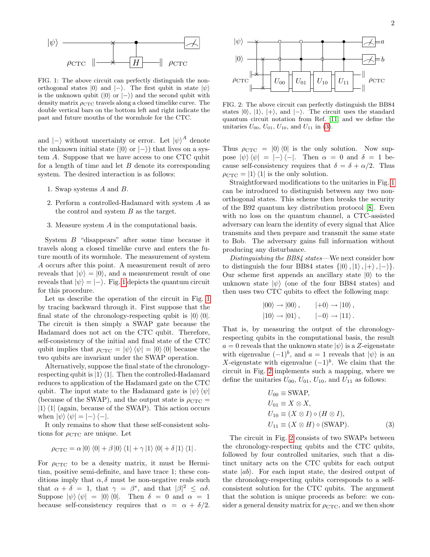

<span id="page-2-0"></span>FIG. 1: The above circuit can perfectly distinguish the nonorthogonal states  $|0\rangle$  and  $|-\rangle$ . The first qubit in state  $|\psi\rangle$ is the unknown qubit ( $|0\rangle$  or  $|-\rangle$ ) and the second qubit with density matrix  $\rho_{\text{CTC}}$  travels along a closed timelike curve. The double vertical bars on the bottom left and right indicate the past and future mouths of the wormhole for the CTC.

and  $|-\rangle$  without uncertainty or error. Let  $|\psi\rangle^A$  denote the unknown initial state ( $|0\rangle$  or  $|-\rangle$ ) that lives on a system A. Suppose that we have access to one CTC qubit for a length of time and let  $B$  denote its corresponding system. The desired interaction is as follows:

- 1. Swap systems A and B.
- 2. Perform a controlled-Hadamard with system A as the control and system B as the target.
- 3. Measure system A in the computational basis.

System B "disappears" after some time because it travels along a closed timelike curve and enters the future mouth of its wormhole. The measurement of system A occurs after this point. A measurement result of zero reveals that  $|\psi\rangle = |0\rangle$ , and a measurement result of one reveals that  $|\psi\rangle = |-\rangle$ . Fig. [1](#page-2-0) depicts the quantum circuit for this procedure.

Let us describe the operation of the circuit in Fig. [1](#page-2-0) by tracing backward through it. First suppose that the final state of the chronology-respecting qubit is  $|0\rangle\langle 0|$ . The circuit is then simply a SWAP gate because the Hadamard does not act on the CTC qubit. Therefore, self-consistency of the initial and final state of the CTC qubit implies that  $\rho_{\text{CTC}} = |\psi\rangle \langle \psi| = |0\rangle \langle 0|$  because the two qubits are invariant under the SWAP operation.

Alternatively, suppose the final state of the chronologyrespecting qubit is  $|1\rangle\langle 1|$ . Then the controlled-Hadamard reduces to application of the Hadamard gate on the CTC qubit. The input state to the Hadamard gate is  $|\psi\rangle\langle\psi|$ (because of the SWAP), and the output state is  $\rho_{\text{CTC}} =$  $|1\rangle\langle 1|$  (again, because of the SWAP). This action occurs when  $|\psi\rangle \langle \psi| = |-\rangle \langle -|$ .

It only remains to show that these self-consistent solutions for  $\rho_{\text{CTC}}$  are unique. Let

$$
\rho_{\text{CTC}} = \alpha |0\rangle \langle 0| + \beta |0\rangle \langle 1| + \gamma |1\rangle \langle 0| + \delta |1\rangle \langle 1|.
$$

For  $\rho_{\text{CTC}}$  to be a density matrix, it must be Hermitian, positive semi-definite, and have trace 1; these conditions imply that  $\alpha$ ,  $\delta$  must be non-negative reals such that  $\alpha + \delta = 1$ , that  $\gamma = \beta^*$ , and that  $|\beta|^2 \leq \alpha \delta$ . Suppose  $|\psi\rangle\langle\psi| = |0\rangle\langle0|$ . Then  $\delta = 0$  and  $\alpha = 1$ because self-consistency requires that  $\alpha = \alpha + \delta/2$ .



<span id="page-2-2"></span>FIG. 2: The above circuit can perfectly distinguish the BB84 states  $|0\rangle$ ,  $|1\rangle$ ,  $|+\rangle$ , and  $|-\rangle$ . The circuit uses the standard quantum circuit notation from Ref. [\[11\]](#page-5-1) and we define the unitaries  $U_{00}$ ,  $U_{01}$ ,  $U_{10}$ , and  $U_{11}$  in [\(3\)](#page-2-1).

Thus  $\rho_{\text{CTC}} = |0\rangle\langle 0|$  is the only solution. Now suppose  $|\psi\rangle\langle\psi| = |-\rangle\langle-|$ . Then  $\alpha = 0$  and  $\delta = 1$  because self-consistency requires that  $\delta = \delta + \alpha/2$ . Thus  $\rho_{\text{CTC}} = |1\rangle \langle 1|$  is the only solution.

Straightforward modifications to the unitaries in Fig. [1](#page-2-0) can be introduced to distinguish between any two nonorthogonal states. This scheme then breaks the security of the B92 quantum key distribution protocol [\[8\]](#page-4-7). Even with no loss on the quantum channel, a CTC-assisted adversary can learn the identity of every signal that Alice transmits and then prepare and transmit the same state to Bob. The adversary gains full information without producing any disturbance.

Distinguishing the BB84 states—We next consider how to distinguish the four BB84 states  $\{|0\rangle, |1\rangle, |+\rangle, |-\rangle\}.$ Our scheme first appends an ancillary state  $|0\rangle$  to the unknown state  $|\psi\rangle$  (one of the four BB84 states) and then uses two CTC qubits to effect the following map:

$$
|00\rangle \rightarrow |00\rangle, \qquad |+0\rangle \rightarrow |10\rangle, |10\rangle \rightarrow |01\rangle, \qquad |-0\rangle \rightarrow |11\rangle.
$$

That is, by measuring the output of the chronologyrespecting qubits in the computational basis, the result  $a = 0$  reveals that the unknown state  $|\psi\rangle$  is a Z-eigenstate with eigenvalue  $(-1)^b$ , and  $a = 1$  reveals that  $|\psi\rangle$  is an X-eigenstate with eigenvalue  $(-1)^b$ . We claim that the circuit in Fig. [2](#page-2-2) implements such a mapping, where we define the unitaries  $U_{00}$ ,  $U_{01}$ ,  $U_{10}$ , and  $U_{11}$  as follows:

<span id="page-2-1"></span>
$$
U_{00} \equiv \text{SWAP},
$$
  
\n
$$
U_{01} \equiv X \otimes X,
$$
  
\n
$$
U_{10} \equiv (X \otimes I) \circ (H \otimes I),
$$
  
\n
$$
U_{11} \equiv (X \otimes H) \circ (\text{SWAP}).
$$
\n(3)

The circuit in Fig. [2](#page-2-2) consists of two SWAPs between the chronology-respecting qubits and the CTC qubits, followed by four controlled unitaries, such that a distinct unitary acts on the CTC qubits for each output state  $|ab\rangle$ . For each input state, the desired output of the chronology-respecting qubits corresponds to a selfconsistent solution for the CTC qubits. The argument that the solution is unique proceeds as before: we consider a general density matrix for  $\rho_{\text{CTC}}$ , and we then show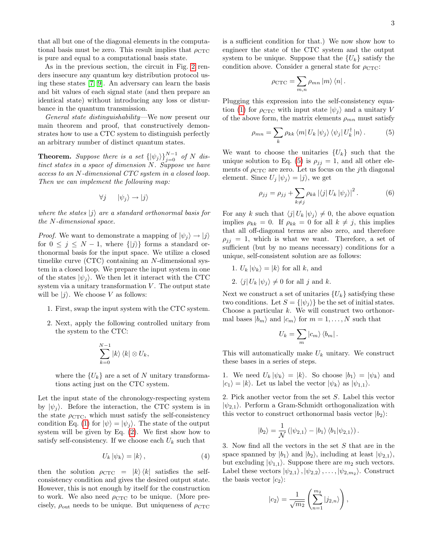that all but one of the diagonal elements in the computational basis must be zero. This result implies that  $\rho_{\text{CTC}}$ is pure and equal to a computational basis state.

As in the previous section, the circuit in Fig. [2](#page-2-2) renders insecure any quantum key distribution protocol using these states [\[7,](#page-4-6) [9\]](#page-4-8). An adversary can learn the basis and bit values of each signal state (and then prepare an identical state) without introducing any loss or disturbance in the quantum transmission.

General state distinguishability—We now present our main theorem and proof, that constructively demonstrates how to use a CTC system to distinguish perfectly an arbitrary number of distinct quantum states.

**Theorem.** Suppose there is a set  $\{|\psi_j\rangle\}_{j=0}^{N-1}$  of N distinct states in a space of dimension  $N$ . Suppose we have access to an N-dimensional CTC system in a closed loop. Then we can implement the following map:

$$
\forall j \qquad |\psi_j\rangle \to |j\rangle
$$

where the states  $|j\rangle$  are a standard orthonormal basis for the N-dimensional space.

*Proof.* We want to demonstrate a mapping of  $|\psi_j\rangle \rightarrow |j\rangle$ for  $0 \leq j \leq N-1$ , where  $\{|j\rangle\}$  forms a standard orthonormal basis for the input space. We utilize a closed timelike curve (CTC) containing an N-dimensional system in a closed loop. We prepare the input system in one of the states  $|\psi_i\rangle$ . We then let it interact with the CTC system via a unitary transformation  $V$ . The output state will be  $|j\rangle$ . We choose V as follows:

- 1. First, swap the input system with the CTC system.
- 2. Next, apply the following controlled unitary from the system to the CTC:

$$
\sum_{k=0}^{N-1} |k\rangle \langle k| \otimes U_k,
$$

where the  $\{U_k\}$  are a set of N unitary transformations acting just on the CTC system.

Let the input state of the chronology-respecting system by  $|\psi_i\rangle$ . Before the interaction, the CTC system is in the state  $\rho_{\text{CTC}}$ , which must satisfy the self-consistency condition Eq. [\(1\)](#page-1-0) for  $|\psi\rangle = |\psi_i\rangle$ . The state of the output system will be given by Eq. [\(2\)](#page-1-1). We first show how to satisfy self-consistency. If we choose each  $U_k$  such that

$$
U_k |\psi_k\rangle = |k\rangle , \qquad (4)
$$

then the solution  $\rho_{\text{CTC}} = |k\rangle \langle k|$  satisfies the selfconsistency condition and gives the desired output state. However, this is not enough by itself for the construction to work. We also need  $\rho_{\text{CTC}}$  to be unique. (More precisely,  $\rho_{\text{out}}$  needs to be unique. But uniqueness of  $\rho_{\text{CTC}}$  is a sufficient condition for that.) We now show how to engineer the state of the CTC system and the output system to be unique. Suppose that the  $\{U_k\}$  satisfy the condition above. Consider a general state for  $\rho_{\text{CTC}}$ :

$$
\rho_{\rm CTC} = \sum_{m,n} \rho_{mn} |m\rangle \langle n|.
$$

Plugging this expression into the self-consistency equa-tion [\(1\)](#page-1-0) for  $\rho_{\text{CTC}}$  with input state  $|\psi_i\rangle$  and a unitary V of the above form, the matrix elements  $\rho_{mn}$  must satisfy

<span id="page-3-0"></span>
$$
\rho_{mn} = \sum_{k} \rho_{kk} \langle m | U_k | \psi_j \rangle \langle \psi_j | U_k^{\dagger} | n \rangle. \tag{5}
$$

We want to choose the unitaries  $\{U_k\}$  such that the unique solution to Eq. [\(5\)](#page-3-0) is  $\rho_{ij} = 1$ , and all other elements of  $\rho_{\text{CTC}}$  are zero. Let us focus on the *j*th diagonal element. Since  $U_j |\psi_j\rangle = |j\rangle$ , we get

$$
\rho_{jj} = \rho_{jj} + \sum_{k \neq j} \rho_{kk} \left| \langle j \right| U_k \left| \psi_j \right> \right|^2.
$$
 (6)

For any k such that  $\langle j | U_k | \psi_j \rangle \neq 0$ , the above equation implies  $\rho_{kk} = 0$ . If  $\rho_{kk} = 0$  for all  $k \neq j$ , this implies that all off-diagonal terms are also zero, and therefore  $\rho_{jj} = 1$ , which is what we want. Therefore, a set of sufficient (but by no means necessary) conditions for a unique, self-consistent solution are as follows:

- 1.  $U_k |\psi_k\rangle = |k\rangle$  for all k, and
- 2.  $\langle j | U_k | \psi_j \rangle \neq 0$  for all j and k.

Next we construct a set of unitaries  $\{U_k\}$  satisfying these two conditions. Let  $S = \{ |\psi_i \rangle \}$  be the set of initial states. Choose a particular  $k$ . We will construct two orthonormal bases  $|b_m\rangle$  and  $|c_m\rangle$  for  $m = 1, \ldots, N$  such that

$$
U_k = \sum_m |c_m\rangle \langle b_m|.
$$

This will automatically make  $U_k$  unitary. We construct these bases in a series of steps.

1. We need  $U_k |\psi_k\rangle = |k\rangle$ . So choose  $|b_1\rangle = |\psi_k\rangle$  and  $|c_1\rangle = |k\rangle$ . Let us label the vector  $|\psi_k\rangle$  as  $|\psi_{1,1}\rangle$ .

2. Pick another vector from the set S. Label this vector  $|\psi_{2,1}\rangle$ . Perform a Gram-Schmidt orthogonalization with this vector to construct orthonormal basis vector  $|b_2\rangle$ :

$$
|b_2\rangle = \frac{1}{\mathcal{N}} \left( |\psi_{2,1}\rangle - |b_1\rangle \langle b_1|\psi_{2,1}\rangle \right).
$$

3. Now find all the vectors in the set S that are in the space spanned by  $|b_1\rangle$  and  $|b_2\rangle$ , including at least  $|\psi_{2,1}\rangle$ , but excluding  $|\psi_{1,1}\rangle$ . Suppose there are  $m_2$  such vectors. Label these vectors  $|\psi_{2,1}\rangle$ ,  $|\psi_{2,2}\rangle$ , ...,  $|\psi_{2,m_2}\rangle$ . Construct the basis vector  $|c_2\rangle$ :

$$
|c_2\rangle = \frac{1}{\sqrt{m_2}} \left( \sum_{n=1}^{m_2} |j_{2,n}\rangle \right),
$$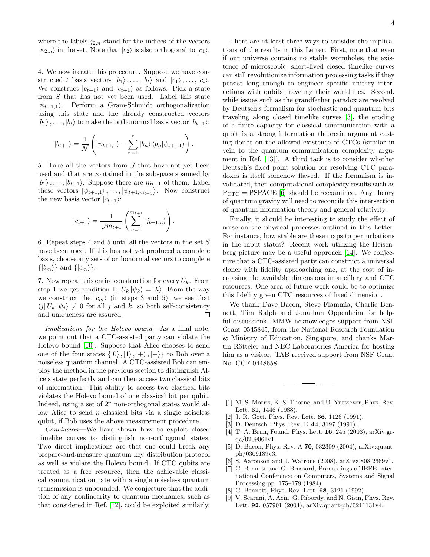where the labels  $j_{2,n}$  stand for the indices of the vectors  $|\psi_{2,n}\rangle$  in the set. Note that  $|c_2\rangle$  is also orthogonal to  $|c_1\rangle$ .

4. We now iterate this procedure. Suppose we have constructed t basis vectors  $|b_1\rangle, \ldots, |b_t\rangle$  and  $|c_1\rangle, \ldots, |c_t\rangle$ . We construct  $|b_{t+1}\rangle$  and  $|c_{t+1}\rangle$  as follows. Pick a state from  $S$  that has not yet been used. Label this state  $|\psi_{t+1,1}\rangle$ . Perform a Gram-Schmidt orthogonalization using this state and the already constructed vectors  $|b_1\rangle, \ldots, |b_t\rangle$  to make the orthonormal basis vector  $|b_{t+1}\rangle$ :

$$
|b_{t+1}\rangle = \frac{1}{N} \left( |\psi_{t+1,1}\rangle - \sum_{n=1}^t |b_n\rangle \langle b_n | \psi_{t+1,1}\rangle \right).
$$

5. Take all the vectors from  $S$  that have not yet been used and that are contained in the subspace spanned by  $|b_1\rangle, \ldots, |b_{t+1}\rangle$ . Suppose there are  $m_{t+1}$  of them. Label these vectors  $|\psi_{t+1,1}\rangle, \ldots, |\psi_{t+1,m_{t+1}}\rangle$ . Now construct the new basis vector  $|c_{t+1}\rangle$ :

$$
|c_{t+1}\rangle = \frac{1}{\sqrt{m_{t+1}}} \left( \sum_{n=1}^{m_{t+1}} |j_{t+1,n}\rangle \right).
$$

6. Repeat steps 4 and 5 until all the vectors in the set  $S$ have been used. If this has not yet produced a complete basis, choose any sets of orthonormal vectors to complete  $\{|b_m\rangle\}$  and  $\{|c_m\rangle\}$ .

7. Now repeat this entire construction for every  $U_k$ . From step 1 we get condition 1:  $U_k |\psi_k\rangle = |k\rangle$ . From the way we construct the  $|c_m\rangle$  (in steps 3 and 5), we see that  $\langle j | U_k | \psi_j \rangle \neq 0$  for all j and k, so both self-consistency and uniqueness are assured. and uniqueness are assured.

Implications for the Holevo bound—As a final note, we point out that a CTC-assisted party can violate the Holevo bound [\[10\]](#page-5-0). Suppose that Alice chooses to send one of the four states  $\{|0\rangle, |1\rangle, |+\rangle, |-\rangle\}$  to Bob over a noiseless quantum channel. A CTC-assisted Bob can employ the method in the previous section to distinguish Alice's state perfectly and can then access two classical bits of information. This ability to access two classical bits violates the Holevo bound of one classical bit per qubit. Indeed, using a set of  $2^n$  non-orthogonal states would allow Alice to send  $n$  classical bits via a single noiseless qubit, if Bob uses the above measurement procedure.

Conclusion—We have shown how to exploit closed timelike curves to distinguish non-orthogonal states. Two direct implications are that one could break any prepare-and-measure quantum key distribution protocol as well as violate the Holevo bound. If CTC qubits are treated as a free resource, then the achievable classical communication rate with a single noiseless quantum transmission is unbounded. We conjecture that the addition of any nonlinearity to quantum mechanics, such as that considered in Ref. [\[12\]](#page-5-2), could be exploited similarly.

There are at least three ways to consider the implications of the results in this Letter. First, note that even if our universe contains no stable wormholes, the existence of microscopic, short-lived closed timelike curves can still revolutionize information processing tasks if they persist long enough to engineer specific unitary interactions with qubits traveling their worldlines. Second, while issues such as the grandfather paradox are resolved by Deutsch's formalism for stochastic and quantum bits traveling along closed timelike curves [\[3\]](#page-4-2), the eroding of a finite capacity for classical communication with a qubit is a strong information theoretic argument casting doubt on the allowed existence of CTCs (similar in vein to the quantum communication complexity argument in Ref. [\[13\]](#page-5-3)). A third tack is to consider whether Deutsch's fixed point solution for resolving CTC paradoxes is itself somehow flawed. If the formalism is invalidated, then computational complexity results such as  $P_{\text{CTC}} = \text{PSPACE}$  [\[6\]](#page-4-5) should be reexamined. Any theory of quantum gravity will need to reconcile this intersection of quantum information theory and general relativity.

Finally, it should be interesting to study the effect of noise on the physical processes outlined in this Letter. For instance, how stable are these maps to perturbations in the input states? Recent work utilizing the Heisenberg picture may be a useful approach [\[14\]](#page-5-4). We conjecture that a CTC-assisted party can construct a universal cloner with fidelity approaching one, at the cost of increasing the available dimensions in ancillary and CTC resources. One area of future work could be to optimize this fidelity given CTC resources of fixed dimension.

We thank Dave Bacon, Steve Flammia, Charlie Bennett, Tim Ralph and Jonathan Oppenheim for helpful discussions. MMW acknowledges support from NSF Grant 0545845, from the National Research Foundation & Ministry of Education, Singapore, and thanks Martin Rötteler and NEC Laboratories America for hosting him as a visitor. TAB received support from NSF Grant No. CCF-0448658.

- <span id="page-4-0"></span>[1] M. S. Morris, K. S. Thorne, and U. Yurtsever, Phys. Rev. Lett. 61, 1446 (1988).
- <span id="page-4-1"></span>[2] J. R. Gott, Phys. Rev. Lett.  $66$ , 1126 (1991).
- <span id="page-4-2"></span>[3] D. Deutsch, Phys. Rev. D 44, 3197 (1991).
- <span id="page-4-3"></span>[4] T. A. Brun, Found. Phys. Lett. 16, 245 (2003), arXiv:grqc/0209061v1.
- <span id="page-4-4"></span>[5] D. Bacon, Phys. Rev. A **70**, 032309 (2004), arXiv:quantph/0309189v3.
- <span id="page-4-5"></span>[6] S. Aaronson and J. Watrous (2008), arXiv:0808.2669v1.
- <span id="page-4-6"></span>[7] C. Bennett and G. Brassard, Proceedings of IEEE International Conference on Computers, Systems and Signal Processing pp. 175–179 (1984).
- <span id="page-4-7"></span>[8] C. Bennett, Phys. Rev. Lett. **68**, 3121 (1992).
- <span id="page-4-8"></span>[9] V. Scarani, A. Acin, G. Ribordy, and N. Gisin, Phys. Rev. Lett. 92, 057901 (2004), arXiv:quant-ph/0211131v4.